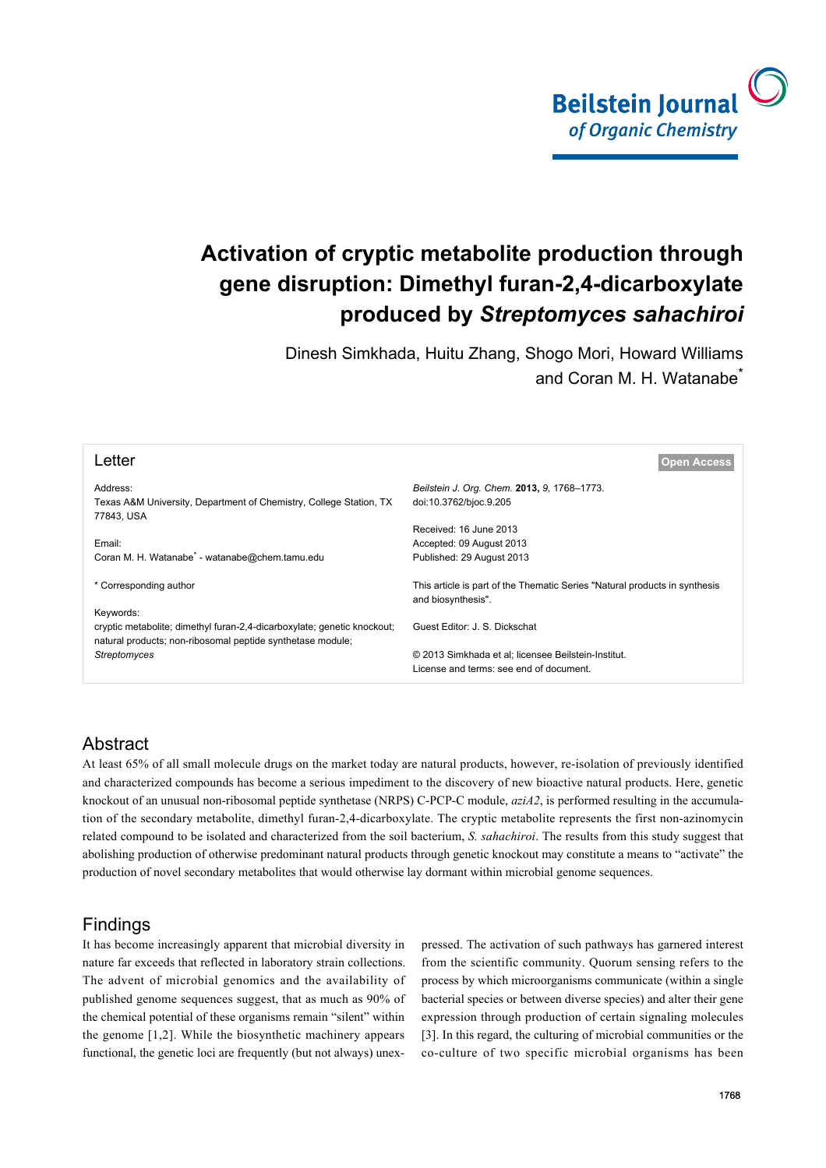

# **Activation of cryptic metabolite production through gene disruption: Dimethyl furan-2,4-dicarboxylate produced by** *Streptomyces sahachiroi*

Dinesh Simkhada, Huitu Zhang, Shogo Mori, Howard Williams and Coran M. H. Watanabe<sup>\*</sup>

| Letter                                                                                                                                             | <b>Open Access</b>                                                                               |
|----------------------------------------------------------------------------------------------------------------------------------------------------|--------------------------------------------------------------------------------------------------|
| Address:<br>Texas A&M University, Department of Chemistry, College Station, TX<br>77843, USA                                                       | Beilstein J. Org. Chem. 2013, 9, 1768–1773.<br>doi:10.3762/bjoc.9.205                            |
|                                                                                                                                                    | Received: 16 June 2013                                                                           |
| Email:<br>Coran M. H. Watanabe <sup>*</sup> - watanabe@chem.tamu.edu                                                                               | Accepted: 09 August 2013<br>Published: 29 August 2013                                            |
| * Corresponding author                                                                                                                             | This article is part of the Thematic Series "Natural products in synthesis<br>and biosynthesis". |
| Keywords:<br>cryptic metabolite; dimethyl furan-2,4-dicarboxylate; genetic knockout;<br>natural products; non-ribosomal peptide synthetase module; | Guest Editor: J. S. Dickschat                                                                    |
| Streptomyces                                                                                                                                       | © 2013 Simkhada et al; licensee Beilstein-Institut.<br>License and terms: see end of document.   |

# Abstract

At least 65% of all small molecule drugs on the market today are natural products, however, re-isolation of previously identified and characterized compounds has become a serious impediment to the discovery of new bioactive natural products. Here, genetic knockout of an unusual non-ribosomal peptide synthetase (NRPS) C-PCP-C module, *aziA2*, is performed resulting in the accumulation of the secondary metabolite, dimethyl furan-2,4-dicarboxylate. The cryptic metabolite represents the first non-azinomycin related compound to be isolated and characterized from the soil bacterium, *S. sahachiroi*. The results from this study suggest that abolishing production of otherwise predominant natural products through genetic knockout may constitute a means to "activate" the production of novel secondary metabolites that would otherwise lay dormant within microbial genome sequences.

## Findings

It has become increasingly apparent that microbial diversity in nature far exceeds that reflected in laboratory strain collections. The advent of microbial genomics and the availability of published genome sequences suggest, that as much as 90% of the chemical potential of these organisms remain "silent" within the genome [\[1,2\].](#page-4-0) While the biosynthetic machinery appears functional, the genetic loci are frequently (but not always) unexpressed. The activation of such pathways has garnered interest from the scientific community. Quorum sensing refers to the process by which microorganisms communicate (within a single bacterial species or between diverse species) and alter their gene expression through production of certain signaling molecules [\[3\]](#page-4-1). In this regard, the culturing of microbial communities or the co-culture of two specific microbial organisms has been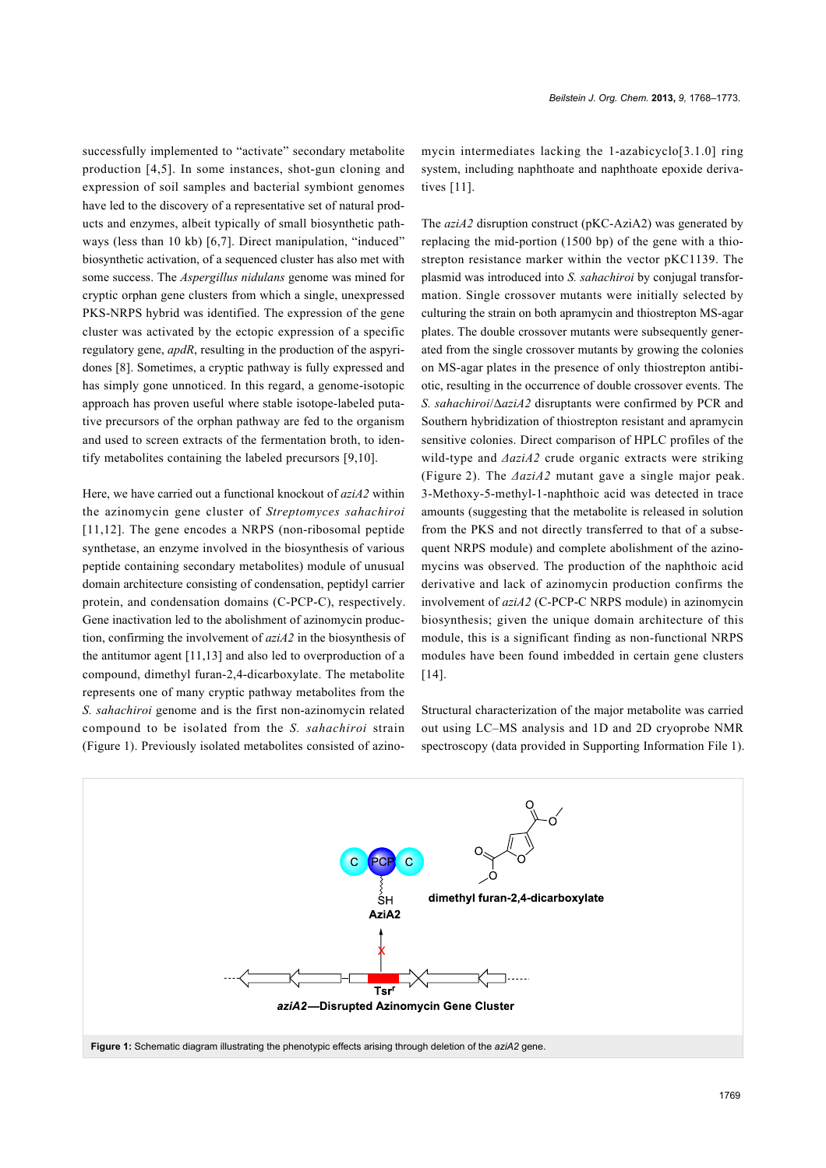successfully implemented to "activate" secondary metabolite production [\[4,5\]](#page-4-2). In some instances, shot-gun cloning and expression of soil samples and bacterial symbiont genomes have led to the discovery of a representative set of natural products and enzymes, albeit typically of small biosynthetic pathways (less than 10 kb) [\[6,7\].](#page-4-3) Direct manipulation, "induced" biosynthetic activation, of a sequenced cluster has also met with some success. The *Aspergillus nidulans* genome was mined for cryptic orphan gene clusters from which a single, unexpressed PKS-NRPS hybrid was identified. The expression of the gene cluster was activated by the ectopic expression of a specific regulatory gene, *apdR*, resulting in the production of the aspyridones [\[8\].](#page-5-0) Sometimes, a cryptic pathway is fully expressed and has simply gone unnoticed. In this regard, a genome-isotopic approach has proven useful where stable isotope-labeled putative precursors of the orphan pathway are fed to the organism and used to screen extracts of the fermentation broth, to identify metabolites containing the labeled precursors [\[9,10\]](#page-5-1).

Here, we have carried out a functional knockout of *aziA2* within the azinomycin gene cluster of *Streptomyces sahachiroi* [\[11,12\]](#page-5-2). The gene encodes a NRPS (non-ribosomal peptide synthetase, an enzyme involved in the biosynthesis of various peptide containing secondary metabolites) module of unusual domain architecture consisting of condensation, peptidyl carrier protein, and condensation domains (C-PCP-C), respectively. Gene inactivation led to the abolishment of azinomycin production, confirming the involvement of *aziA2* in the biosynthesis of the antitumor agent [\[11,13\]](#page-5-2) and also led to overproduction of a compound, dimethyl furan-2,4-dicarboxylate. The metabolite represents one of many cryptic pathway metabolites from the *S. sahachiroi* genome and is the first non-azinomycin related compound to be isolated from the *S. sahachiroi* strain ([Figure 1\)](#page-1-0). Previously isolated metabolites consisted of azinomycin intermediates lacking the 1-azabicyclo[3.1.0] ring system, including naphthoate and naphthoate epoxide derivatives [\[11\].](#page-5-2)

The *aziA2* disruption construct (pKC-AziA2) was generated by replacing the mid-portion (1500 bp) of the gene with a thiostrepton resistance marker within the vector pKC1139. The plasmid was introduced into *S. sahachiroi* by conjugal transformation. Single crossover mutants were initially selected by culturing the strain on both apramycin and thiostrepton MS-agar plates. The double crossover mutants were subsequently generated from the single crossover mutants by growing the colonies on MS-agar plates in the presence of only thiostrepton antibiotic, resulting in the occurrence of double crossover events. The *S. sahachiroi*/Δ*aziA2* disruptants were confirmed by PCR and Southern hybridization of thiostrepton resistant and apramycin sensitive colonies. Direct comparison of HPLC profiles of the wild-type and *ΔaziA2* crude organic extracts were striking ([Figure 2](#page-2-0)). The *ΔaziA2* mutant gave a single major peak. 3-Methoxy-5-methyl-1-naphthoic acid was detected in trace amounts (suggesting that the metabolite is released in solution from the PKS and not directly transferred to that of a subsequent NRPS module) and complete abolishment of the azinomycins was observed. The production of the naphthoic acid derivative and lack of azinomycin production confirms the involvement of *aziA2* (C-PCP-C NRPS module) in azinomycin biosynthesis; given the unique domain architecture of this module, this is a significant finding as non-functional NRPS modules have been found imbedded in certain gene clusters [\[14\]](#page-5-3).

Structural characterization of the major metabolite was carried out using LC–MS analysis and 1D and 2D cryoprobe NMR spectroscopy (data provided in [Supporting Information File 1](#page-4-4)).

<span id="page-1-0"></span>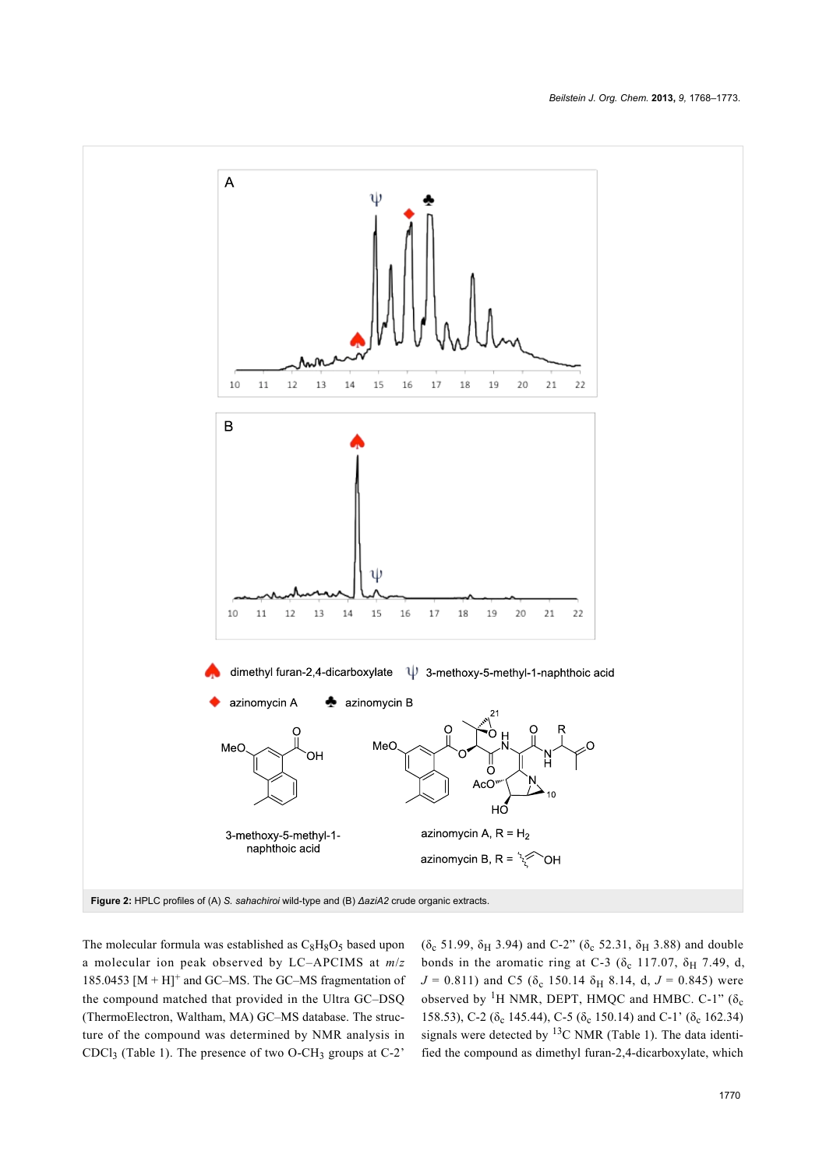<span id="page-2-0"></span>

The molecular formula was established as  $C_8H_8O_5$  based upon a molecular ion peak observed by LC–APCIMS at *m*/*z* 185.0453  $[M + H]^{+}$  and GC–MS. The GC–MS fragmentation of the compound matched that provided in the Ultra GC–DSQ (ThermoElectron, Waltham, MA) GC–MS database. The structure of the compound was determined by NMR analysis in CDCl<sub>3</sub> ([Table 1](#page-3-0)). The presence of two O-CH<sub>3</sub> groups at C-2<sup>'</sup>

( $\delta_c$  51.99,  $\delta_H$  3.94) and C-2" ( $\delta_c$  52.31,  $\delta_H$  3.88) and double bonds in the aromatic ring at C-3 ( $\delta_c$  117.07,  $\delta_H$  7.49, d,  $J = 0.811$ ) and C5 ( $\delta_c$  150.14  $\delta_H$  8.14, d,  $J = 0.845$ ) were observed by <sup>1</sup>H NMR, DEPT, HMQC and HMBC. C-1" ( $\delta_c$ 158.53), C-2 ( $\delta_c$  145.44), C-5 ( $\delta_c$  150.14) and C-1' ( $\delta_c$  162.34) signals were detected by  ${}^{13}$ C NMR [\(Table 1](#page-3-0)). The data identified the compound as dimethyl furan-2,4-dicarboxylate, which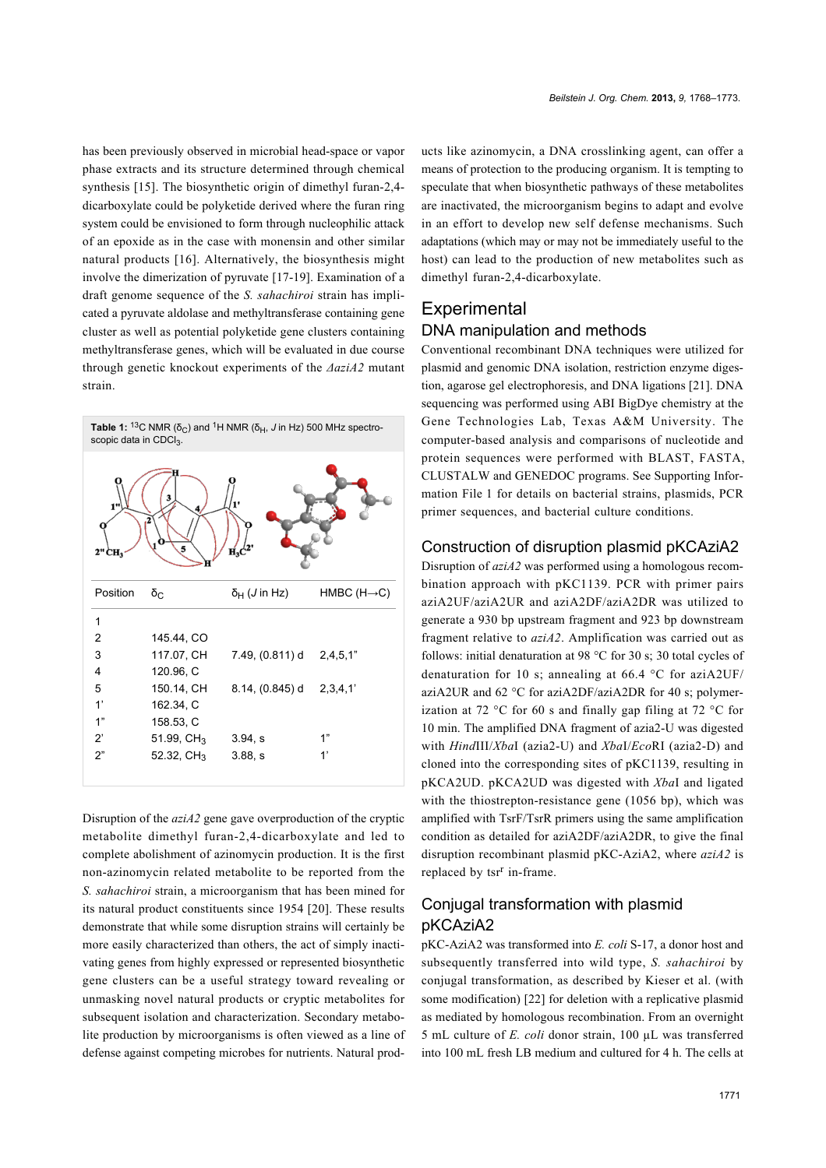has been previously observed in microbial head-space or vapor phase extracts and its structure determined through chemical synthesis [\[15\].](#page-5-4) The biosynthetic origin of dimethyl furan-2,4 dicarboxylate could be polyketide derived where the furan ring system could be envisioned to form through nucleophilic attack of an epoxide as in the case with monensin and other similar natural products [\[16\]](#page-5-5). Alternatively, the biosynthesis might involve the dimerization of pyruvate [\[17-19\]](#page-5-6). Examination of a draft genome sequence of the *S. sahachiroi* strain has implicated a pyruvate aldolase and methyltransferase containing gene cluster as well as potential polyketide gene clusters containing methyltransferase genes, which will be evaluated in due course through genetic knockout experiments of the *ΔaziA2* mutant strain.

<span id="page-3-0"></span>

Disruption of the *aziA2* gene gave overproduction of the cryptic metabolite dimethyl furan-2,4-dicarboxylate and led to complete abolishment of azinomycin production. It is the first non-azinomycin related metabolite to be reported from the *S. sahachiroi* strain, a microorganism that has been mined for its natural product constituents since 1954 [\[20\]](#page-5-7). These results demonstrate that while some disruption strains will certainly be more easily characterized than others, the act of simply inactivating genes from highly expressed or represented biosynthetic gene clusters can be a useful strategy toward revealing or unmasking novel natural products or cryptic metabolites for subsequent isolation and characterization. Secondary metabolite production by microorganisms is often viewed as a line of defense against competing microbes for nutrients. Natural products like azinomycin, a DNA crosslinking agent, can offer a means of protection to the producing organism. It is tempting to speculate that when biosynthetic pathways of these metabolites are inactivated, the microorganism begins to adapt and evolve in an effort to develop new self defense mechanisms. Such adaptations (which may or may not be immediately useful to the host) can lead to the production of new metabolites such as dimethyl furan-2,4-dicarboxylate.

## **Experimental** DNA manipulation and methods

Conventional recombinant DNA techniques were utilized for plasmid and genomic DNA isolation, restriction enzyme digestion, agarose gel electrophoresis, and DNA ligations [\[21\]](#page-5-8). DNA sequencing was performed using ABI BigDye chemistry at the Gene Technologies Lab, Texas A&M University. The computer-based analysis and comparisons of nucleotide and protein sequences were performed with BLAST, FASTA, CLUSTALW and GENEDOC programs. See [Supporting Infor](#page-4-4)[mation File 1](#page-4-4) for details on bacterial strains, plasmids, PCR primer sequences, and bacterial culture conditions.

#### Construction of disruption plasmid pKCAziA2

Disruption of *aziA2* was performed using a homologous recombination approach with pKC1139. PCR with primer pairs aziA2UF/aziA2UR and aziA2DF/aziA2DR was utilized to generate a 930 bp upstream fragment and 923 bp downstream fragment relative to *aziA2*. Amplification was carried out as follows: initial denaturation at 98 °C for 30 s; 30 total cycles of denaturation for 10 s; annealing at 66.4 °C for aziA2UF/ aziA2UR and 62 °C for aziA2DF/aziA2DR for 40 s; polymerization at 72 °C for 60 s and finally gap filing at 72 °C for 10 min. The amplified DNA fragment of azia2-U was digested with *Hind*III/*Xba*I (azia2-U) and *Xba*I/*Eco*RI (azia2-D) and cloned into the corresponding sites of pKC1139, resulting in pKCA2UD. pKCA2UD was digested with *Xba*I and ligated with the thiostrepton-resistance gene (1056 bp), which was amplified with TsrF/TsrR primers using the same amplification condition as detailed for aziA2DF/aziA2DR, to give the final disruption recombinant plasmid pKC-AziA2, where *aziA2* is replaced by tsr<sup>r</sup> in-frame.

## Conjugal transformation with plasmid pKCAziA2

pKC-AziA2 was transformed into *E. coli* S-17, a donor host and subsequently transferred into wild type, *S. sahachiroi* by conjugal transformation, as described by Kieser et al. (with some modification) [\[22\]](#page-5-9) for deletion with a replicative plasmid as mediated by homologous recombination. From an overnight 5 mL culture of *E. coli* donor strain, 100 µL was transferred into 100 mL fresh LB medium and cultured for 4 h. The cells at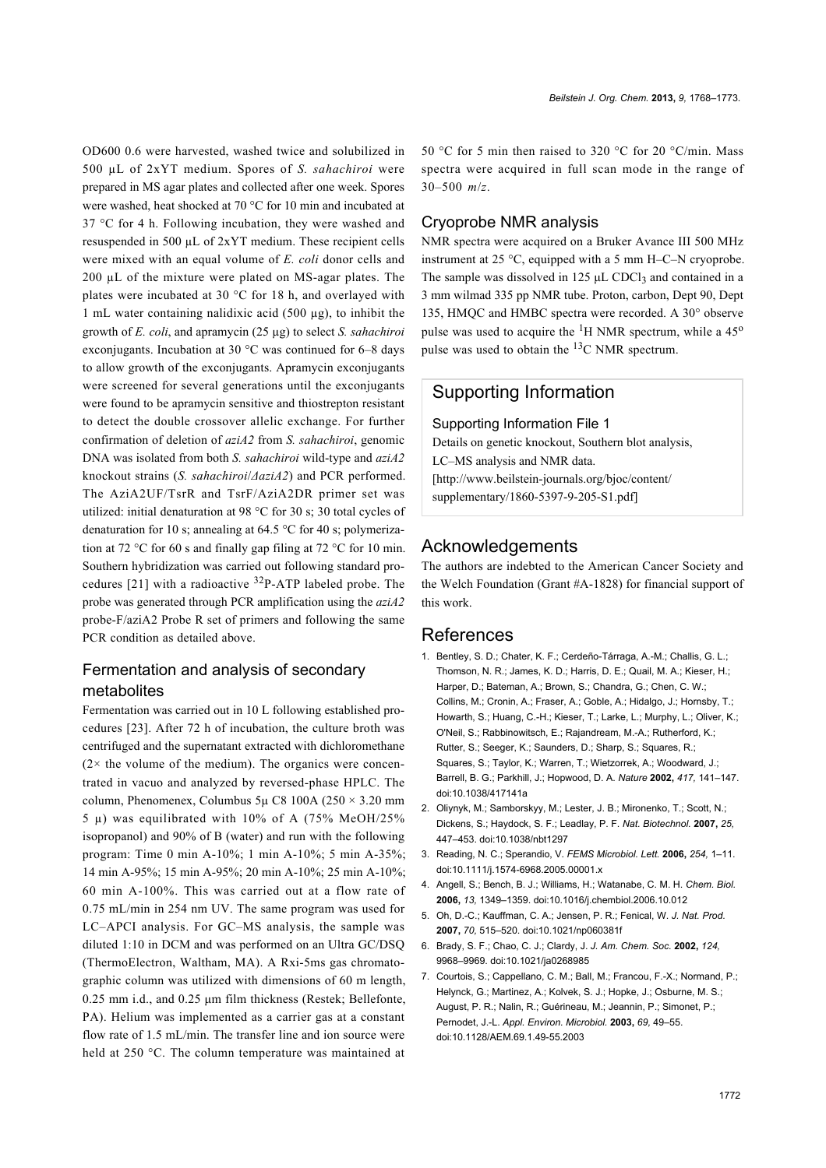OD600 0.6 were harvested, washed twice and solubilized in 500 µL of 2xYT medium. Spores of *S. sahachiroi* were prepared in MS agar plates and collected after one week. Spores were washed, heat shocked at 70 °C for 10 min and incubated at 37 °C for 4 h. Following incubation, they were washed and resuspended in 500 µL of 2xYT medium. These recipient cells were mixed with an equal volume of *E. coli* donor cells and 200 µL of the mixture were plated on MS-agar plates. The plates were incubated at 30 °C for 18 h, and overlayed with 1 mL water containing nalidixic acid (500 µg), to inhibit the growth of *E. coli*, and apramycin (25 µg) to select *S. sahachiroi* exconjugants. Incubation at 30 °C was continued for 6–8 days to allow growth of the exconjugants. Apramycin exconjugants were screened for several generations until the exconjugants were found to be apramycin sensitive and thiostrepton resistant to detect the double crossover allelic exchange. For further confirmation of deletion of *aziA2* from *S. sahachiroi*, genomic DNA was isolated from both *S. sahachiroi* wild-type and *aziA2* knockout strains (*S. sahachiroi*/*ΔaziA2*) and PCR performed. The AziA2UF/TsrR and TsrF/AziA2DR primer set was utilized: initial denaturation at 98 °C for 30 s; 30 total cycles of denaturation for 10 s; annealing at 64.5  $\degree$ C for 40 s; polymerization at 72 °C for 60 s and finally gap filing at 72 °C for 10 min. Southern hybridization was carried out following standard procedures [\[21\]](#page-5-8) with a radioactive 32P-ATP labeled probe. The probe was generated through PCR amplification using the *aziA2* probe-F/aziA2 Probe R set of primers and following the same PCR condition as detailed above.

#### Fermentation and analysis of secondary metabolites

Fermentation was carried out in 10 L following established procedures [\[23\].](#page-5-10) After 72 h of incubation, the culture broth was centrifuged and the supernatant extracted with dichloromethane  $(2 \times$  the volume of the medium). The organics were concentrated in vacuo and analyzed by reversed-phase HPLC. The column, Phenomenex, Columbus 5µ C8 100A ( $250 \times 3.20$  mm 5 µ) was equilibrated with 10% of A (75% MeOH/25% isopropanol) and 90% of B (water) and run with the following program: Time 0 min A-10%; 1 min A-10%; 5 min A-35%; 14 min A-95%; 15 min A-95%; 20 min A-10%; 25 min A-10%; 60 min A-100%. This was carried out at a flow rate of 0.75 mL/min in 254 nm UV. The same program was used for LC–APCI analysis. For GC–MS analysis, the sample was diluted 1:10 in DCM and was performed on an Ultra GC/DSQ (ThermoElectron, Waltham, MA). A Rxi-5ms gas chromatographic column was utilized with dimensions of 60 m length, 0.25 mm i.d., and 0.25 μm film thickness (Restek; Bellefonte, PA). Helium was implemented as a carrier gas at a constant flow rate of 1.5 mL/min. The transfer line and ion source were held at 250 °C. The column temperature was maintained at 50 °C for 5 min then raised to 320 °C for 20 °C/min. Mass spectra were acquired in full scan mode in the range of 30–500 *m*/*z*.

#### Cryoprobe NMR analysis

NMR spectra were acquired on a Bruker Avance III 500 MHz instrument at 25 °C, equipped with a 5 mm H–C–N cryoprobe. The sample was dissolved in  $125 \mu L$  CDCl<sub>3</sub> and contained in a 3 mm wilmad 335 pp NMR tube. Proton, carbon, Dept 90, Dept 135, HMQC and HMBC spectra were recorded. A 30° observe pulse was used to acquire the  ${}^{1}H$  NMR spectrum, while a 45<sup>o</sup> pulse was used to obtain the 13C NMR spectrum.

## Supporting Information

<span id="page-4-4"></span>Supporting Information File 1

Details on genetic knockout, Southern blot analysis, LC–MS analysis and NMR data. [\[http://www.beilstein-journals.org/bjoc/content/](http://www.beilstein-journals.org/bjoc/content/supplementary/1860-5397-9-205-S1.pdf) [supplementary/1860-5397-9-205-S1.pdf\]](http://www.beilstein-journals.org/bjoc/content/supplementary/1860-5397-9-205-S1.pdf)

### Acknowledgements

The authors are indebted to the American Cancer Society and the Welch Foundation (Grant #A-1828) for financial support of this work.

#### References

- <span id="page-4-0"></span>1. Bentley, S. D.; Chater, K. F.; Cerdeño-Tárraga, A.-M.; Challis, G. L.; Thomson, N. R.; James, K. D.; Harris, D. E.; Quail, M. A.; Kieser, H.; Harper, D.; Bateman, A.; Brown, S.; Chandra, G.; Chen, C. W.; Collins, M.; Cronin, A.; Fraser, A.; Goble, A.; Hidalgo, J.; Hornsby, T.; Howarth, S.; Huang, C.-H.; Kieser, T.; Larke, L.; Murphy, L.; Oliver, K.; O'Neil, S.; Rabbinowitsch, E.; Rajandream, M.-A.; Rutherford, K.; Rutter, S.; Seeger, K.; Saunders, D.; Sharp, S.; Squares, R.; Squares, S.; Taylor, K.; Warren, T.; Wietzorrek, A.; Woodward, J.; Barrell, B. G.; Parkhill, J.; Hopwood, D. A. *Nature* **2002,** *417,* 141–147. [doi:10.1038/417141a](http://dx.doi.org/10.1038%2F417141a)
- 2. Oliynyk, M.; Samborskyy, M.; Lester, J. B.; Mironenko, T.; Scott, N.; Dickens, S.; Haydock, S. F.; Leadlay, P. F. *Nat. Biotechnol.* **2007,** *25,* 447–453. [doi:10.1038/nbt1297](http://dx.doi.org/10.1038%2Fnbt1297)
- <span id="page-4-1"></span>3. Reading, N. C.; Sperandio, V. *FEMS Microbiol. Lett.* **2006,** *254,* 1–11. [doi:10.1111/j.1574-6968.2005.00001.x](http://dx.doi.org/10.1111%2Fj.1574-6968.2005.00001.x)
- <span id="page-4-2"></span>4. Angell, S.; Bench, B. J.; Williams, H.; Watanabe, C. M. H. *Chem. Biol.* **2006,** *13,* 1349–1359. [doi:10.1016/j.chembiol.2006.10.012](http://dx.doi.org/10.1016%2Fj.chembiol.2006.10.012)
- 5. Oh, D.-C.; Kauffman, C. A.; Jensen, P. R.; Fenical, W. *J. Nat. Prod.* **2007,** *70,* 515–520. [doi:10.1021/np060381f](http://dx.doi.org/10.1021%2Fnp060381f)
- <span id="page-4-3"></span>6. Brady, S. F.; Chao, C. J.; Clardy, J. *J. Am. Chem. Soc.* **2002,** *124,* 9968–9969. [doi:10.1021/ja0268985](http://dx.doi.org/10.1021%2Fja0268985)
- 7. Courtois, S.; Cappellano, C. M.; Ball, M.; Francou, F.-X.; Normand, P.; Helynck, G.; Martinez, A.; Kolvek, S. J.; Hopke, J.; Osburne, M. S.; August, P. R.; Nalin, R.; Guérineau, M.; Jeannin, P.; Simonet, P.; Pernodet, J.-L. *Appl. Environ. Microbiol.* **2003,** *69,* 49–55. [doi:10.1128/AEM.69.1.49-55.2003](http://dx.doi.org/10.1128%2FAEM.69.1.49-55.2003)